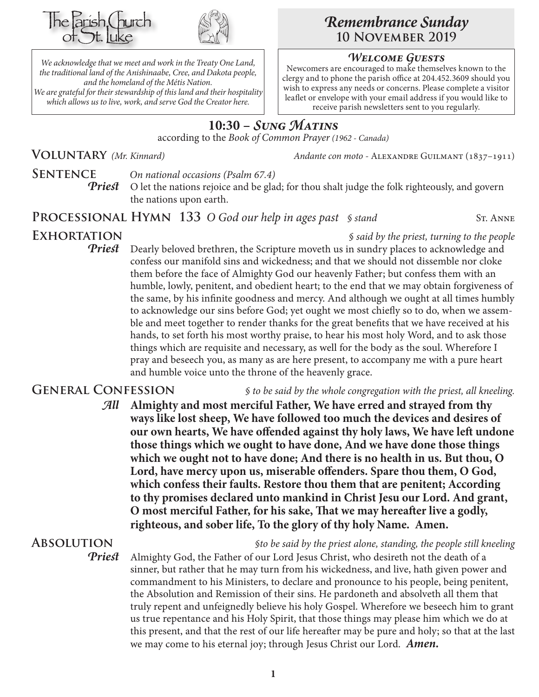



*We acknowledge that we meet and work in the Treaty One Land, the traditional land of the Anishinaabe, Cree, and Dakota people, and the homeland of the Métis Nation. We are grateful for their stewardship of this land and their hospitality which allows us to live, work, and serve God the Creator here.*

# *Remembrance Sunday* **10 November 2019**

### *Welcome Guests*

Newcomers are encouraged to make themselves known to the clergy and to phone the parish office at 204.452.3609 should you wish to express any needs or concerns. Please complete a visitor leaflet or envelope with your email address if you would like to receive parish newsletters sent to you regularly.

# **10:30 –** *Sung Matins*

according to the *Book of Common Prayer (1962 - Canada)*

**VOLUNTARY** *(Mr. Kinnard) Andante con moto - ALEXANDRE GUILMANT* (1837–1911)

### **SENTENCE** On national occasions (Psalm 67.4)

*Priest* O let the nations rejoice and be glad; for thou shalt judge the folk righteously, and govern the nations upon earth.

**PROCESSIONAL HYMN 133** O God our help in ages past § stand ST. ANNE

**Exhortation** *§ said by the priest, turning to the people Priest* Dearly beloved brethren, the Scripture moveth us in sundry places to acknowledge and confess our manifold sins and wickedness; and that we should not dissemble nor cloke them before the face of Almighty God our heavenly Father; but confess them with an humble, lowly, penitent, and obedient heart; to the end that we may obtain forgiveness of the same, by his infinite goodness and mercy. And although we ought at all times humbly to acknowledge our sins before God; yet ought we most chiefly so to do, when we assemble and meet together to render thanks for the great benefits that we have received at his hands, to set forth his most worthy praise, to hear his most holy Word, and to ask those things which are requisite and necessary, as well for the body as the soul. Wherefore I pray and beseech you, as many as are here present, to accompany me with a pure heart and humble voice unto the throne of the heavenly grace.

**GENERAL CONFESSION** *§ to be said by the whole congregation with the priest, all kneeling.* 

*All* **Almighty and most merciful Father, We have erred and strayed from thy ways like lost sheep, We have followed too much the devices and desires of our own hearts, We have offended against thy holy laws, We have left undone those things which we ought to have done, And we have done those things which we ought not to have done; And there is no health in us. But thou, O Lord, have mercy upon us, miserable offenders. Spare thou them, O God, which confess their faults. Restore thou them that are penitent; According to thy promises declared unto mankind in Christ Jesu our Lord. And grant, O most merciful Father, for his sake, That we may hereafter live a godly, righteous, and sober life, To the glory of thy holy Name. Amen.**

**Absolution** *§to be said by the priest alone, standing, the people still kneeling Priest* Almighty God, the Father of our Lord Jesus Christ, who desireth not the death of a sinner, but rather that he may turn from his wickedness, and live, hath given power and commandment to his Ministers, to declare and pronounce to his people, being penitent, the Absolution and Remission of their sins. He pardoneth and absolveth all them that truly repent and unfeignedly believe his holy Gospel. Wherefore we beseech him to grant us true repentance and his Holy Spirit, that those things may please him which we do at this present, and that the rest of our life hereafter may be pure and holy; so that at the last we may come to his eternal joy; through Jesus Christ our Lord.*Amen.*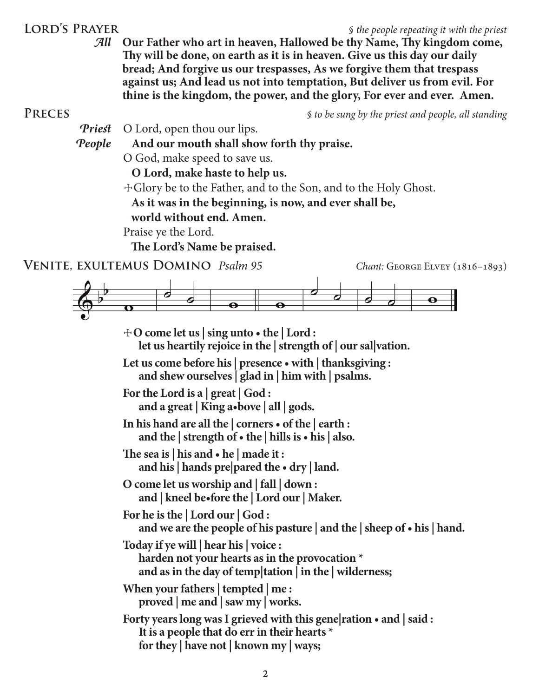### **LORD'S PRAYER** *§ the people repeating it with the priest*

*All* **Our Father who art in heaven, Hallowed be thy Name, Thy kingdom come, Thy will be done, on earth as it is in heaven. Give us this day our daily bread; And forgive us our trespasses, As we forgive them that trespass against us; And lead us not into temptation, But deliver us from evil. For thine is the kingdom, the power, and the glory, For ever and ever. Amen.**

**Preces** *§ to be sung by the priest and people, all standing*

*Priest* O Lord, open thou our lips.

*People* **And our mouth shall show forth thy praise.**

O God, make speed to save us.

**O Lord, make haste to help us.**

☩Glory be to the Father, and to the Son, and to the Holy Ghost.

**As it was in the beginning, is now, and ever shall be,**

 **world without end. Amen.**

Praise ye the Lord.

 **The Lord's Name be praised.**

**VENITE, EXULTEMUS DOMINO** *Psalm* 95 *Chant: George Elvey (1816–1893)* 



☩**O come let us | sing unto • the | Lord : let us heartily rejoice in the | strength of | our sal|vation. Let us come before his | presence • with | thanksgiving : and shew ourselves | glad in | him with | psalms. For the Lord is a | great | God : and a great | King a•bove | all | gods. In his hand are all the | corners • of the | earth : and the | strength of • the | hills is • his | also. The sea is | his and • he | made it : and his | hands pre|pared the • dry | land. O come let us worship and | fall | down : and | kneel be•fore the | Lord our | Maker. For he is the | Lord our | God : and we are the people of his pasture | and the | sheep of • his | hand. Today if ye will | hear his | voice : harden not your hearts as in the provocation \* and as in the day of temp|tation | in the | wilderness; When your fathers | tempted | me : proved | me and | saw my | works. Forty years long was I grieved with this gene|ration • and | said : It is a people that do err in their hearts \* for they | have not | known my | ways;**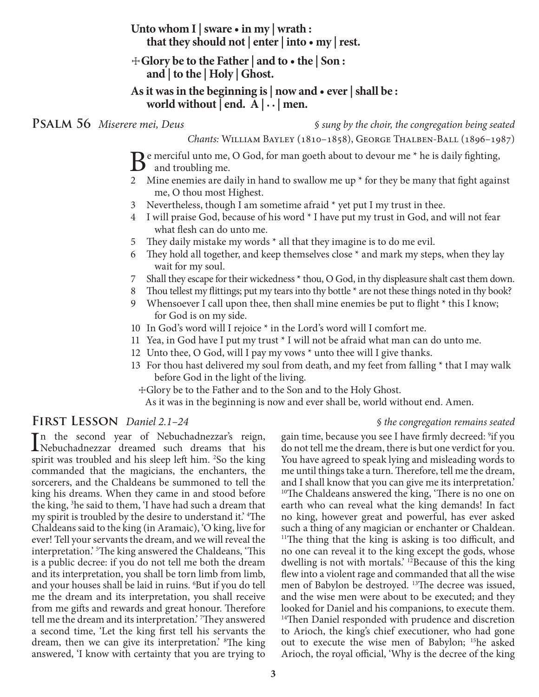**Unto whom I | sware • in my | wrath : that they should not | enter | into • my | rest.**

## ☩**Glory be to the Father | and to • the | Son : and | to the | Holy | Ghost.**

**As it was in the beginning is | now and • ever | shall be :** world without  $\int$  end. A  $\left| \cdots \right|$  men.

**Psalm 56** *Miserere mei, Deus § sung by the choir, the congregation being seated*

*Chants:* William Bayley (1810–1858), George Thalben-Ball (1896–1987)

Be merciful unto me, O God, for man goeth about to devour me \* he is daily fighting,<br>and troubling me.

- 2 Mine enemies are daily in hand to swallow me up  $*$  for they be many that fight against me, O thou most Highest.
- 3 Nevertheless, though I am sometime afraid  $*$  yet put I my trust in thee.
- 4 I will praise God, because of his word \* I have put my trust in God, and will not fear what flesh can do unto me.
- 5 They daily mistake my words \* all that they imagine is to do me evil.
- 6 They hold all together, and keep themselves close  $*$  and mark my steps, when they lay wait for my soul.
- 7 Shall they escape for their wickedness \* thou, O God, in thy displeasure shalt cast them down.
- 8 Thou tellest my flittings; put my tears into thy bottle  $*$  are not these things noted in thy book?
- 9 Whensoever I call upon thee, then shall mine enemies be put to flight  $*$  this I know; for God is on my side.
- 10 In God's word will I rejoice \* in the Lord's word will I comfort me.
- 11 Yea, in God have I put my trust \* I will not be afraid what man can do unto me.
- 12 Unto thee, O God, will I pay my vows \* unto thee will I give thanks.
- 13 For thou hast delivered my soul from death, and my feet from falling \* that I may walk before God in the light of the living.
	- ☩Glory be to the Father and to the Son and to the Holy Ghost.
	- As it was in the beginning is now and ever shall be, world without end. Amen.

#### **First Lesson** *Daniel 2.1–24 § the congregation remains seated*

In the second year of Nebuchadnezzar's reign,<br>Nebuchadnezzar dreamed such dreams that his<br>animitative traveled and his clean left him <sup>28</sup>0 the king n the second year of Nebuchadnezzar's reign, spirit was troubled and his sleep left him. 2 So the king commanded that the magicians, the enchanters, the sorcerers, and the Chaldeans be summoned to tell the king his dreams. When they came in and stood before the king, <sup>3</sup>he said to them, 'I have had such a dream that my spirit is troubled by the desire to understand it.' 4 The Chaldeans said to the king (in Aramaic), 'O king, live for ever! Tell your servants the dream, and we will reveal the interpretation.' 5 The king answered the Chaldeans, 'This is a public decree: if you do not tell me both the dream and its interpretation, you shall be torn limb from limb, and your houses shall be laid in ruins. 6 But if you do tell me the dream and its interpretation, you shall receive from me gifts and rewards and great honour. Therefore tell me the dream and its interpretation.' They answered a second time, 'Let the king first tell his servants the dream, then we can give its interpretation.<sup>8</sup> The king answered, 'I know with certainty that you are trying to

gain time, because you see I have firmly decreed: 9 if you do not tell me the dream, there is but one verdict for you. You have agreed to speak lying and misleading words to me until things take a turn. Therefore, tell me the dream, and I shall know that you can give me its interpretation.' <sup>10</sup>The Chaldeans answered the king, 'There is no one on earth who can reveal what the king demands! In fact no king, however great and powerful, has ever asked such a thing of any magician or enchanter or Chaldean. <sup>11</sup>The thing that the king is asking is too difficult, and no one can reveal it to the king except the gods, whose dwelling is not with mortals.<sup>'</sup> <sup>12</sup>Because of this the king flew into a violent rage and commanded that all the wise men of Babylon be destroyed. 13The decree was issued, and the wise men were about to be executed; and they looked for Daniel and his companions, to execute them. <sup>14</sup>Then Daniel responded with prudence and discretion to Arioch, the king's chief executioner, who had gone out to execute the wise men of Babylon; 15he asked Arioch, the royal official, 'Why is the decree of the king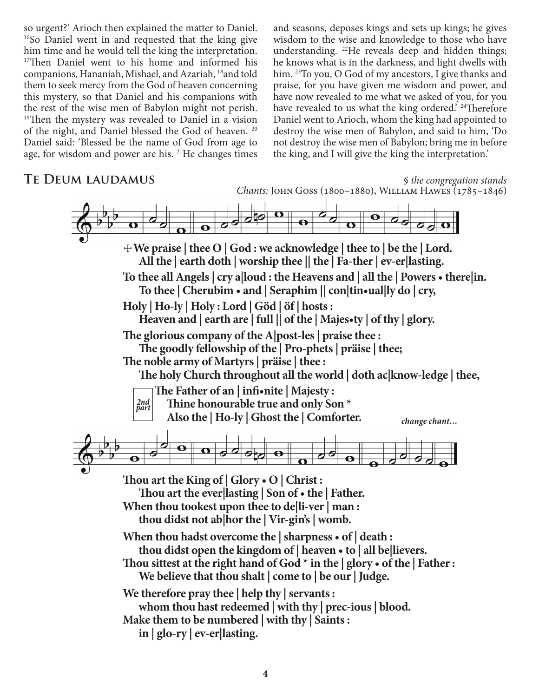so urgent?' Arioch then explained the matter to Daniel. <sup>16</sup>So Daniel went in and requested that the king give him time and he would tell the king the interpretation. <sup>17</sup>Then Daniel went to his home and informed his companions, Hananiah, Mishael, and Azariah, 18and told them to seek mercy from the God of heaven concerning this mystery, so that Daniel and his companions with the rest of the wise men of Babylon might not perish. <sup>19</sup>Then the mystery was revealed to Daniel in a vision of the night, and Daniel blessed the God of heaven. 20 Daniel said: 'Blessed be the name of God from age to age, for wisdom and power are his. <sup>21</sup>He changes times

and seasons, deposes kings and sets up kings; he gives wisdom to the wise and knowledge to those who have understanding. 22He reveals deep and hidden things; he knows what is in the darkness, and light dwells with him. <sup>23</sup>To you, O God of my ancestors, I give thanks and praise, for you have given me wisdom and power, and have now revealed to me what we asked of you, for you have revealed to us what the king ordered.<sup>24</sup>Therefore Daniel went to Arioch, whom the king had appointed to destroy the wise men of Babylon, and said to him, 'Do not destroy the wise men of Babylon; bring me in before the king, and I will give the king the interpretation.'

### **TE DEUM LAUDAMUS** *§ the congregation stands*

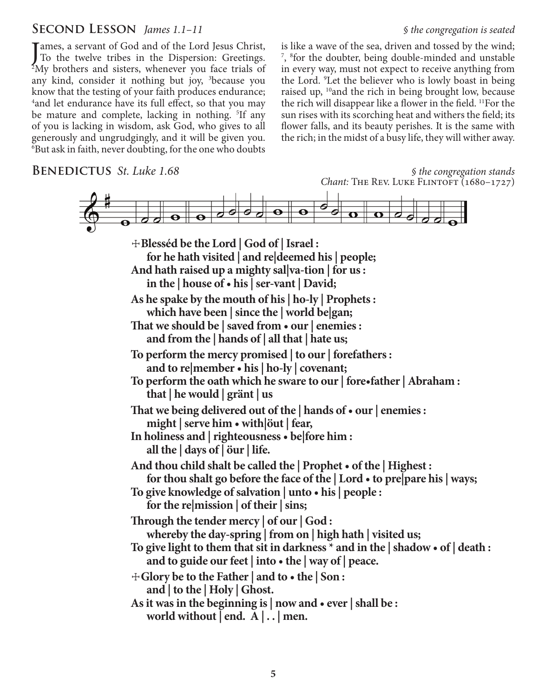### **Second Lesson** *James 1.1–11 § the congregation is seated*

James, a servant of God and of the Lord Jesus Christ,<br>To the twelve tribes in the Dispersion: Greetings.<br><sup>2</sup>My brothers and sisters, whenever you face trials of Tames, a servant of God and of the Lord Jesus Christ, <sup>2</sup>My brothers and sisters, whenever you face trials of any kind, consider it nothing but joy, <sup>3</sup>because you know that the testing of your faith produces endurance; 4 and let endurance have its full effect, so that you may be mature and complete, lacking in nothing. <sup>5</sup>If any of you is lacking in wisdom, ask God, who gives to all generously and ungrudgingly, and it will be given you. 6 But ask in faith, never doubting, for the one who doubts is like a wave of the sea, driven and tossed by the wind; <sup>7</sup>, <sup>8</sup> for the doubter, being double-minded and unstable in every way, must not expect to receive anything from the Lord. <sup>9</sup>Let the believer who is lowly boast in being raised up, <sup>10</sup>and the rich in being brought low, because the rich will disappear like a flower in the field. 11For the sun rises with its scorching heat and withers the field; its flower falls, and its beauty perishes. It is the same with the rich; in the midst of a busy life, they will wither away.

# **BENEDICTUS** St. Luke 1.68 *§ the congregation stands Chant:* The Rev. Luke Flintoft (1680–1727) ☩**Blesséd be the Lord | God of | Israel : for he hath visited | and re|deemed his | people; And hath raised up a mighty sal|va-tion | for us : in the | house of • his | ser-vant | David; As he spake by the mouth of his | ho-ly | Prophets : which have been | since the | world be|gan; That we should be | saved from • our | enemies : and from the | hands of | all that | hate us; To perform the mercy promised | to our | forefathers : and to re|member • his | ho-ly | covenant; To perform the oath which he sware to our | fore•father | Abraham : that | he would | gränt | us That we being delivered out of the | hands of • our | enemies : might | serve him • with|öut | fear, In holiness and | righteousness • be|fore him : all the | days of | öur | life. And thou child shalt be called the | Prophet • of the | Highest : for thou shalt go before the face of the | Lord • to pre|pare his | ways; To give knowledge of salvation | unto • his | people : for the re|mission | of their | sins; Through the tender mercy | of our | God : whereby the day-spring | from on | high hath | visited us; To give light to them that sit in darkness \* and in the | shadow • of | death : and to guide our feet | into • the | way of | peace.** ☩**Glory be to the Father | and to • the | Son : and | to the | Holy | Ghost. As it was in the beginning is | now and • ever | shall be : world without | end. A | . . | men.**

#### **5**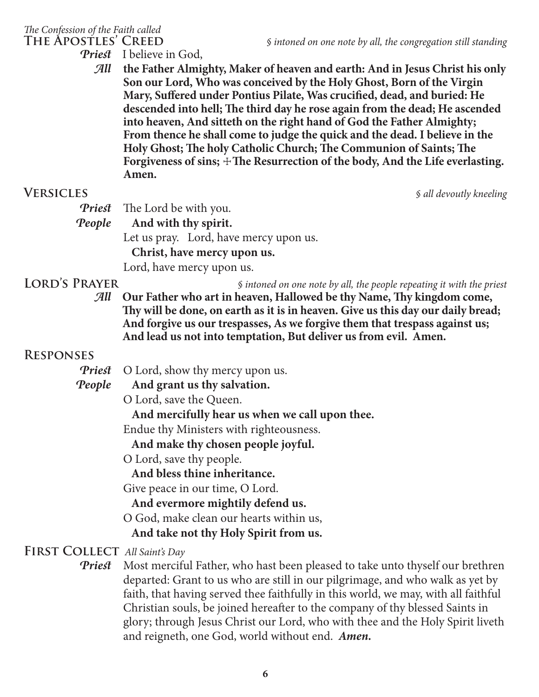*The Confession of the Faith called*

**The Apostles' Creed** *§ intoned on one note by all, the congregation still standing*

| <b>Priest</b> | I believe in God, |
|---------------|-------------------|
|---------------|-------------------|

*All* **the Father Almighty, Maker of heaven and earth: And in Jesus Christ his only Son our Lord, Who was conceived by the Holy Ghost, Born of the Virgin Mary, Suffered under Pontius Pilate, Was crucified, dead, and buried: He descended into hell; The third day he rose again from the dead; He ascended into heaven, And sitteth on the right hand of God the Father Almighty; From thence he shall come to judge the quick and the dead. I believe in the Holy Ghost; The holy Catholic Church; The Communion of Saints; The**  Forgiveness of sins;  $\pm$ The Resurrection of the body, And the Life everlasting. **Amen.**

**Versicles** *§ all devoutly kneeling*

| The Lord be with you.<br><b>Priest</b> |  |
|----------------------------------------|--|
|----------------------------------------|--|

*People* **And with thy spirit.**

Let us pray. Lord, have mercy upon us.

**Christ, have mercy upon us.**

Lord, have mercy upon us.

**LORD'S PRAYER** *§ intoned on one note by all, the people repeating it with the priest All* **Our Father who art in heaven, Hallowed be thy Name, Thy kingdom come, Thy will be done, on earth as it is in heaven. Give us this day our daily bread; And forgive us our trespasses, As we forgive them that trespass against us; And lead us not into temptation, But deliver us from evil. Amen.**

## **Responses**

*Priest* O Lord, show thy mercy upon us.

*People* **And grant us thy salvation.**

O Lord, save the Queen.

**And mercifully hear us when we call upon thee.**

Endue thy Ministers with righteousness.

**And make thy chosen people joyful.**

O Lord, save thy people.

 **And bless thine inheritance.**

Give peace in our time, O Lord.

 **And evermore mightily defend us.**

O God, make clean our hearts within us,

## **And take not thy Holy Spirit from us.**

## **First Collect** *All Saint's Day*

*Priest* Most merciful Father, who hast been pleased to take unto thyself our brethren departed: Grant to us who are still in our pilgrimage, and who walk as yet by faith, that having served thee faithfully in this world, we may, with all faithful Christian souls, be joined hereafter to the company of thy blessed Saints in glory; through Jesus Christ our Lord, who with thee and the Holy Spirit liveth and reigneth, one God, world without end. *Amen.*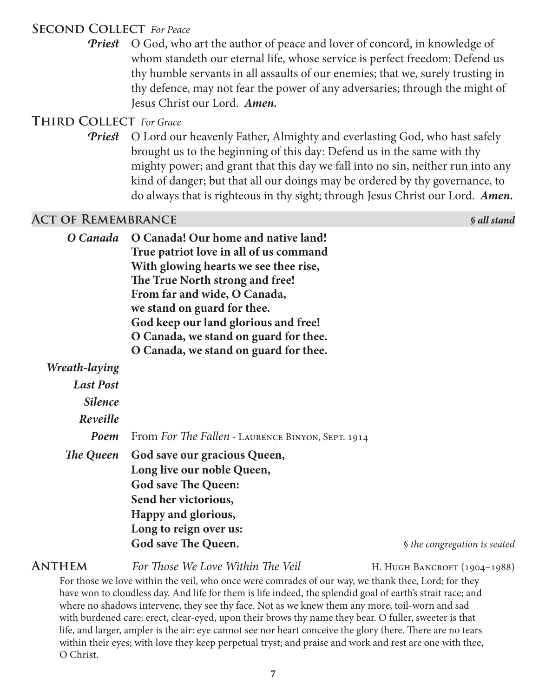## **Second Collect** *For Peace*

*Priest* O God, who art the author of peace and lover of concord, in knowledge of whom standeth our eternal life, whose service is perfect freedom: Defend us thy humble servants in all assaults of our enemies; that we, surely trusting in thy defence, may not fear the power of any adversaries; through the might of Jesus Christ our Lord. *Amen.*

## **Third Collect** *For Grace*

*Priest* O Lord our heavenly Father, Almighty and everlasting God, who hast safely brought us to the beginning of this day: Defend us in the same with thy mighty power; and grant that this day we fall into no sin, neither run into any kind of danger; but that all our doings may be ordered by thy governance, to do always that is righteous in thy sight; through Jesus Christ our Lord. *Amen.*

## **Act of Remembrance** *§ all stand*

| O Canada | O Canada! Our home and native land!    |
|----------|----------------------------------------|
|          | True patriot love in all of us command |
|          | With glowing hearts we see thee rise,  |
|          | The True North strong and free!        |
|          | From far and wide, O Canada,           |
|          | we stand on guard for thee.            |
|          | God keep our land glorious and free!   |
|          | O Canada, we stand on guard for thee.  |
|          | O Canada, we stand on guard for thee.  |

## *Wreath-laying*

| <b>Last Post</b> |                                                   |                              |  |  |  |
|------------------|---------------------------------------------------|------------------------------|--|--|--|
| <b>Silence</b>   |                                                   |                              |  |  |  |
| Reveille         |                                                   |                              |  |  |  |
| Poem             | From For The Fallen - LAURENCE BINYON, SEPT. 1914 |                              |  |  |  |
| The Queen        | God save our gracious Queen,                      |                              |  |  |  |
|                  | Long live our noble Queen,                        |                              |  |  |  |
|                  | <b>God save The Queen:</b>                        |                              |  |  |  |
|                  | Send her victorious,                              |                              |  |  |  |
|                  | Happy and glorious,                               |                              |  |  |  |
|                  | Long to reign over us:                            |                              |  |  |  |
|                  | God save The Queen.                               | § the congregation is seated |  |  |  |
|                  |                                                   |                              |  |  |  |

**ANTHEM** *For Those We Love Within The Veil* **H. HUGH BANCROFT** (1904–1988)

For those we love within the veil, who once were comrades of our way, we thank thee, Lord; for they have won to cloudless day. And life for them is life indeed, the splendid goal of earth's strait race; and where no shadows intervene, they see thy face. Not as we knew them any more, toil-worn and sad with burdened care: erect, clear-eyed, upon their brows thy name they bear. O fuller, sweeter is that life, and larger, ampler is the air: eye cannot see nor heart conceive the glory there. There are no tears within their eyes; with love they keep perpetual tryst; and praise and work and rest are one with thee, O Christ.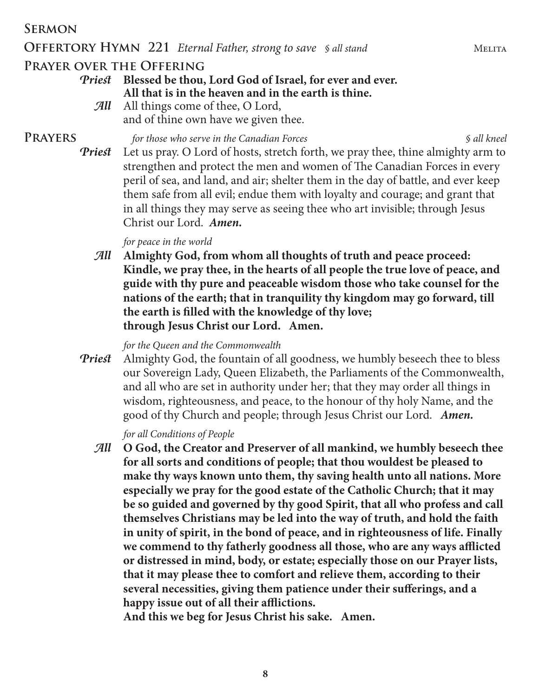**Sermon**

## **OFFERTORY HYMN** 221 *Eternal Father, strong to save* § all stand MELITA

# **Prayer over the Offering**

## *Priest* **Blessed be thou, Lord God of Israel, for ever and ever. All that is in the heaven and in the earth is thine.**

*All* All things come of thee, O Lord, and of thine own have we given thee.

**Prayers** *for those who serve in the Canadian Forces § all kneel*

*Priest* Let us pray. O Lord of hosts, stretch forth, we pray thee, thine almighty arm to strengthen and protect the men and women of The Canadian Forces in every peril of sea, and land, and air; shelter them in the day of battle, and ever keep them safe from all evil; endue them with loyalty and courage; and grant that in all things they may serve as seeing thee who art invisible; through Jesus Christ our Lord. *Amen.*

## *for peace in the world*

*All* **Almighty God, from whom all thoughts of truth and peace proceed: Kindle, we pray thee, in the hearts of all people the true love of peace, and guide with thy pure and peaceable wisdom those who take counsel for the nations of the earth; that in tranquility thy kingdom may go forward, till the earth is filled with the knowledge of thy love; through Jesus Christ our Lord.****Amen.**

## *for the Queen and the Commonwealth*

*Priest* Almighty God, the fountain of all goodness, we humbly beseech thee to bless our Sovereign Lady, Queen Elizabeth, the Parliaments of the Commonwealth, and all who are set in authority under her; that they may order all things in wisdom, righteousness, and peace, to the honour of thy holy Name, and the good of thy Church and people; through Jesus Christ our Lord. *Amen.*

## *for all Conditions of People*

*All* **O God, the Creator and Preserver of all mankind, we humbly beseech thee for all sorts and conditions of people; that thou wouldest be pleased to make thy ways known unto them, thy saving health unto all nations. More especially we pray for the good estate of the Catholic Church; that it may be so guided and governed by thy good Spirit, that all who profess and call themselves Christians may be led into the way of truth, and hold the faith in unity of spirit, in the bond of peace, and in righteousness of life. Finally we commend to thy fatherly goodness all those, who are any ways afflicted or distressed in mind, body, or estate; especially those on our Prayer lists, that it may please thee to comfort and relieve them, according to their several necessities, giving them patience under their sufferings, and a happy issue out of all their afflictions.**

**And this we beg for Jesus Christ his sake.****Amen.**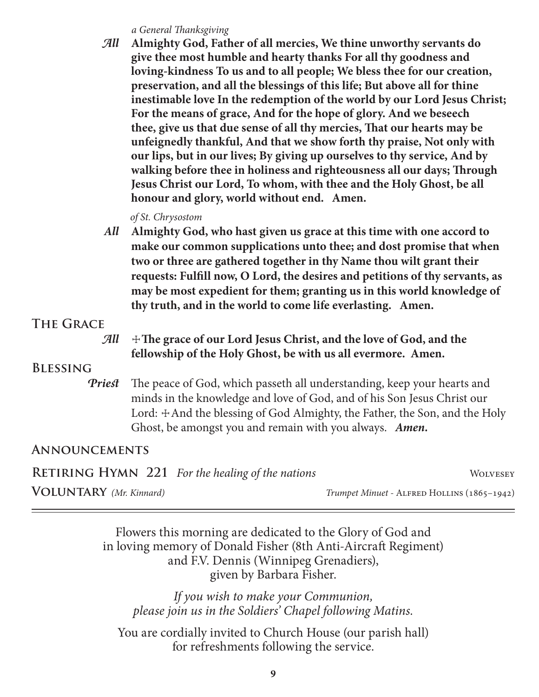#### *a General Thanksgiving*

*All* **Almighty God, Father of all mercies, We thine unworthy servants do give thee most humble and hearty thanks For all thy goodness and loving-kindness To us and to all people; We bless thee for our creation, preservation, and all the blessings of this life; But above all for thine inestimable love In the redemption of the world by our Lord Jesus Christ; For the means of grace, And for the hope of glory. And we beseech thee, give us that due sense of all thy mercies, That our hearts may be unfeignedly thankful, And that we show forth thy praise, Not only with our lips, but in our lives; By giving up ourselves to thy service, And by walking before thee in holiness and righteousness all our days; Through Jesus Christ our Lord, To whom, with thee and the Holy Ghost, be all honour and glory, world without end. Amen.**

### *of St. Chrysostom*

*All* **Almighty God, who hast given us grace at this time with one accord to make our common supplications unto thee; and dost promise that when two or three are gathered together in thy Name thou wilt grant their requests: Fulfill now, O Lord, the desires and petitions of thy servants, as may be most expedient for them; granting us in this world knowledge of thy truth, and in the world to come life everlasting. Amen.**

## **The Grace**

*All* ☩**The grace of our Lord Jesus Christ, and the love of God, and the fellowship of the Holy Ghost, be with us all evermore. Amen.**

## **Blessing**

*Priest* The peace of God, which passeth all understanding, keep your hearts and minds in the knowledge and love of God, and of his Son Jesus Christ our Lord:  $\pm$ And the blessing of God Almighty, the Father, the Son, and the Holy Ghost, be amongst you and remain with you always. *Amen.*

## **Announcements**

|                                | <b>RETIRING HYMN 221</b> For the healing of the nations | <b>WOLVESEY</b>                             |
|--------------------------------|---------------------------------------------------------|---------------------------------------------|
| <b>VOLUNTARY</b> (Mr. Kinnard) |                                                         | Trumpet Minuet - ALFRED HOLLINS (1865-1942) |

Flowers this morning are dedicated to the Glory of God and in loving memory of Donald Fisher (8th Anti-Aircraft Regiment) and F.V. Dennis (Winnipeg Grenadiers), given by Barbara Fisher.

*If you wish to make your Communion, please join us in the Soldiers' Chapel following Matins.*

You are cordially invited to Church House (our parish hall) for refreshments following the service.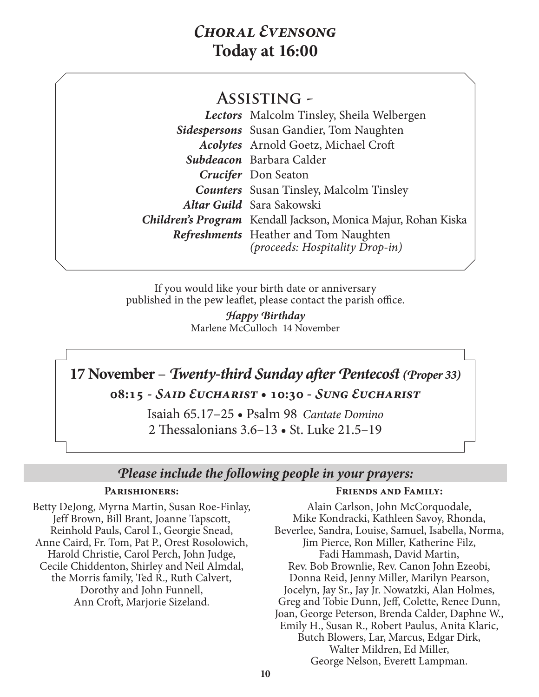# **Assisting -**

*Lectors* Malcolm Tinsley, Sheila Welbergen *Sidespersons* Susan Gandier, Tom Naughten *Acolytes* Arnold Goetz, Michael Croft *Subdeacon* Barbara Calder *Crucifer* Don Seaton *Counters* Susan Tinsley, Malcolm Tinsley *Altar Guild* Sara Sakowski *Children's Program* Kendall Jackson, Monica Majur, Rohan Kiska *Refreshments* Heather and Tom Naughten *(proceeds: Hospitality Drop-in)*

If you would like your birth date or anniversary published in the pew leaflet, please contact the parish office.

> Marlene McCulloch 14 November *Happy Birthday*

**17 November** – *Twenty-third Sunday after Pentecost (Proper 33)* **08:15 -** *Said Eucharist* **• 10:30 -** *Sung Eucharist*

> Isaiah 65.17–25 • Psalm 98 *Cantate Domino* 2 Thessalonians 3.6–13 • St. Luke 21.5–19

# *Please include the following people in your prayers:*

### **Parishioners:**

Betty DeJong, Myrna Martin, Susan Roe-Finlay, Jeff Brown, Bill Brant, Joanne Tapscott, Reinhold Pauls, Carol I., Georgie Snead, Anne Caird, Fr. Tom, Pat P., Orest Rosolowich, Harold Christie, Carol Perch, John Judge, Cecile Chiddenton, Shirley and Neil Almdal, the Morris family, Ted R., Ruth Calvert, Dorothy and John Funnell, Ann Croft, Marjorie Sizeland.

### **Friends and Family:**

Alain Carlson, John McCorquodale, Mike Kondracki, Kathleen Savoy, Rhonda, Beverlee, Sandra, Louise, Samuel, Isabella, Norma, Jim Pierce, Ron Miller, Katherine Filz, Fadi Hammash, David Martin, Rev. Bob Brownlie, Rev. Canon John Ezeobi, Donna Reid, Jenny Miller, Marilyn Pearson, Jocelyn, Jay Sr., Jay Jr. Nowatzki, Alan Holmes, Greg and Tobie Dunn, Jeff, Colette, Renee Dunn, Joan, George Peterson, Brenda Calder, Daphne W., Emily H., Susan R., Robert Paulus, Anita Klaric, Butch Blowers, Lar, Marcus, Edgar Dirk, Walter Mildren, Ed Miller, George Nelson, Everett Lampman.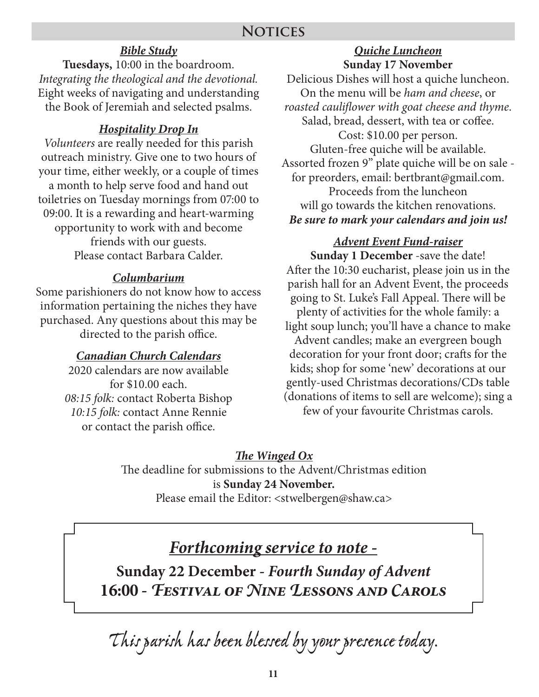# *Bible Study*

**Tuesdays,** 10:00 in the boardroom. *Integrating the theological and the devotional.* Eight weeks of navigating and understanding the Book of Jeremiah and selected psalms.

# *Hospitality Drop In*

*Volunteers* are really needed for this parish outreach ministry. Give one to two hours of your time, either weekly, or a couple of times a month to help serve food and hand out toiletries on Tuesday mornings from 07:00 to 09:00. It is a rewarding and heart-warming opportunity to work with and become friends with our guests. Please contact Barbara Calder.

# *Columbarium*

Some parishioners do not know how to access information pertaining the niches they have purchased. Any questions about this may be directed to the parish office.

# *Canadian Church Calendars*

2020 calendars are now available for \$10.00 each. *08:15 folk:* contact Roberta Bishop *10:15 folk:* contact Anne Rennie or contact the parish office.

## *Quiche Luncheon* **Sunday 17 November**

Delicious Dishes will host a quiche luncheon. On the menu will be *ham and cheese*, or *roasted cauliflower with goat cheese and thyme*. Salad, bread, dessert, with tea or coffee. Cost: \$10.00 per person. Gluten-free quiche will be available. Assorted frozen 9" plate quiche will be on sale for preorders, email: bertbrant@gmail.com. Proceeds from the luncheon will go towards the kitchen renovations. *Be sure to mark your calendars and join us!*

# *Advent Event Fund-raiser*

**Sunday 1 December** -save the date! After the 10:30 eucharist, please join us in the parish hall for an Advent Event, the proceeds going to St. Luke's Fall Appeal. There will be plenty of activities for the whole family: a light soup lunch; you'll have a chance to make Advent candles; make an evergreen bough decoration for your front door; crafts for the kids; shop for some 'new' decorations at our gently-used Christmas decorations/CDs table (donations of items to sell are welcome); sing a few of your favourite Christmas carols.

# *The Winged Ox*

The deadline for submissions to the Advent/Christmas edition is **Sunday 24 November.**

Please email the Editor: <stwelbergen@shaw.ca>

# *Forthcoming service to note -*

**Sunday 22 December -** *Fourth Sunday of Advent* **16:00 -** *Festival of Nine Lessons and Carols*

*This parish has been blessed by your presence today.*